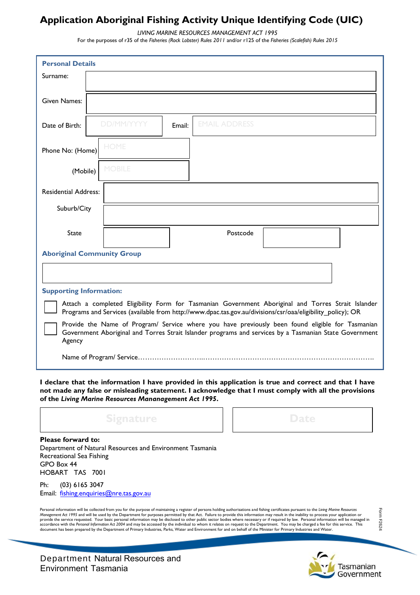## **Application Aboriginal Fishing Activity Unique Identifying Code (UIC)**

*LIVING MARINE RESOURCES MANAGEMENT ACT 1995* 

For the purposes of r35 of the *Fisheries (Rock Lobster) Rules 2011* and/or r125 of the *Fisheries (Scalefish) Rules 2015* 

| <b>Personal Details</b>                                                                                                                                                                                              |                   |        |                      |  |  |  |  |
|----------------------------------------------------------------------------------------------------------------------------------------------------------------------------------------------------------------------|-------------------|--------|----------------------|--|--|--|--|
| Surname:                                                                                                                                                                                                             |                   |        |                      |  |  |  |  |
|                                                                                                                                                                                                                      |                   |        |                      |  |  |  |  |
| Given Names:                                                                                                                                                                                                         |                   |        |                      |  |  |  |  |
| Date of Birth:                                                                                                                                                                                                       | <b>DD/MM/YYYY</b> | Email: | <b>EMAIL ADDRESS</b> |  |  |  |  |
| Phone No: (Home)                                                                                                                                                                                                     | <b>HOME</b>       |        |                      |  |  |  |  |
| (Mobile)                                                                                                                                                                                                             | <b>MOBILE</b>     |        |                      |  |  |  |  |
| <b>Residential Address:</b>                                                                                                                                                                                          |                   |        |                      |  |  |  |  |
| Suburb/City                                                                                                                                                                                                          |                   |        |                      |  |  |  |  |
|                                                                                                                                                                                                                      |                   |        |                      |  |  |  |  |
| <b>State</b>                                                                                                                                                                                                         |                   |        | Postcode             |  |  |  |  |
| <b>Aboriginal Community Group</b>                                                                                                                                                                                    |                   |        |                      |  |  |  |  |
|                                                                                                                                                                                                                      |                   |        |                      |  |  |  |  |
| <b>Supporting Information:</b>                                                                                                                                                                                       |                   |        |                      |  |  |  |  |
| Attach a completed Eligibility Form for Tasmanian Government Aboriginal and Torres Strait Islander<br>Programs and Services (available from http://www.dpac.tas.gov.au/divisions/csr/oaa/eligibility_policy); OR     |                   |        |                      |  |  |  |  |
| Provide the Name of Program/ Service where you have previously been found eligible for Tasmanian<br>Government Aboriginal and Torres Strait Islander programs and services by a Tasmanian State Government<br>Agency |                   |        |                      |  |  |  |  |
|                                                                                                                                                                                                                      |                   |        |                      |  |  |  |  |

**I declare that the information I have provided in this application is true and correct and that I have not made any false or misleading statement. I acknowledge that I must comply with all the provisions of the** *Living Marine Resources Mananagement Act 1995***.** 



Department of Natural Resources and Environment Tasmania Recreational Sea Fishing GPO Box 44 HOBART TAS 7001

Ph: (03) 6165 3047 Email: [fishing.enquiries@](mailto:fishing.enquiries@dpipwe.tas.gov.au)nre.tas.gov.au

Personal information will be collected from you for the purpose of maintaining a register of persons holding authorisations and fishing certificates pursuant to the Living Marine Resources<br>Paragement Act 1995 and will be u

Form F2624 Form F2624

Tasmanian Government

Department Natural Resources and Environment Tasmania